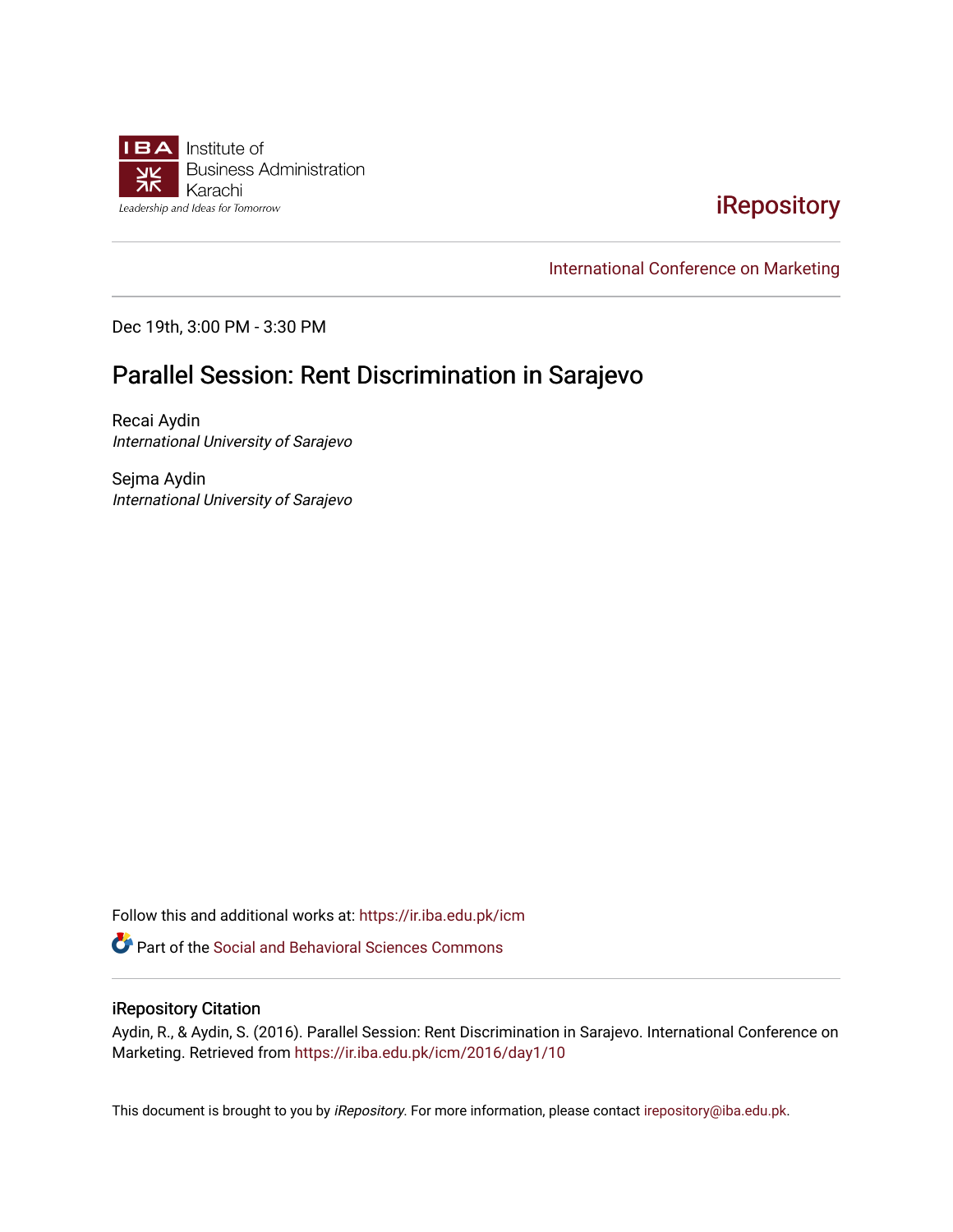

# [iRepository](https://ir.iba.edu.pk/)

[International Conference on Marketing](https://ir.iba.edu.pk/icm) 

Dec 19th, 3:00 PM - 3:30 PM

# Parallel Session: Rent Discrimination in Sarajevo

Recai Aydin International University of Sarajevo

Sejma Aydin International University of Sarajevo

Follow this and additional works at: [https://ir.iba.edu.pk/icm](https://ir.iba.edu.pk/icm?utm_source=ir.iba.edu.pk%2Ficm%2F2016%2Fday1%2F10&utm_medium=PDF&utm_campaign=PDFCoverPages) 

Part of the [Social and Behavioral Sciences Commons](http://network.bepress.com/hgg/discipline/316?utm_source=ir.iba.edu.pk%2Ficm%2F2016%2Fday1%2F10&utm_medium=PDF&utm_campaign=PDFCoverPages) 

#### iRepository Citation

Aydin, R., & Aydin, S. (2016). Parallel Session: Rent Discrimination in Sarajevo. International Conference on Marketing. Retrieved from [https://ir.iba.edu.pk/icm/2016/day1/10](https://ir.iba.edu.pk/icm/2016/day1/10?utm_source=ir.iba.edu.pk%2Ficm%2F2016%2Fday1%2F10&utm_medium=PDF&utm_campaign=PDFCoverPages)

This document is brought to you by iRepository. For more information, please contact [irepository@iba.edu.pk](mailto:irepository@iba.edu.pk).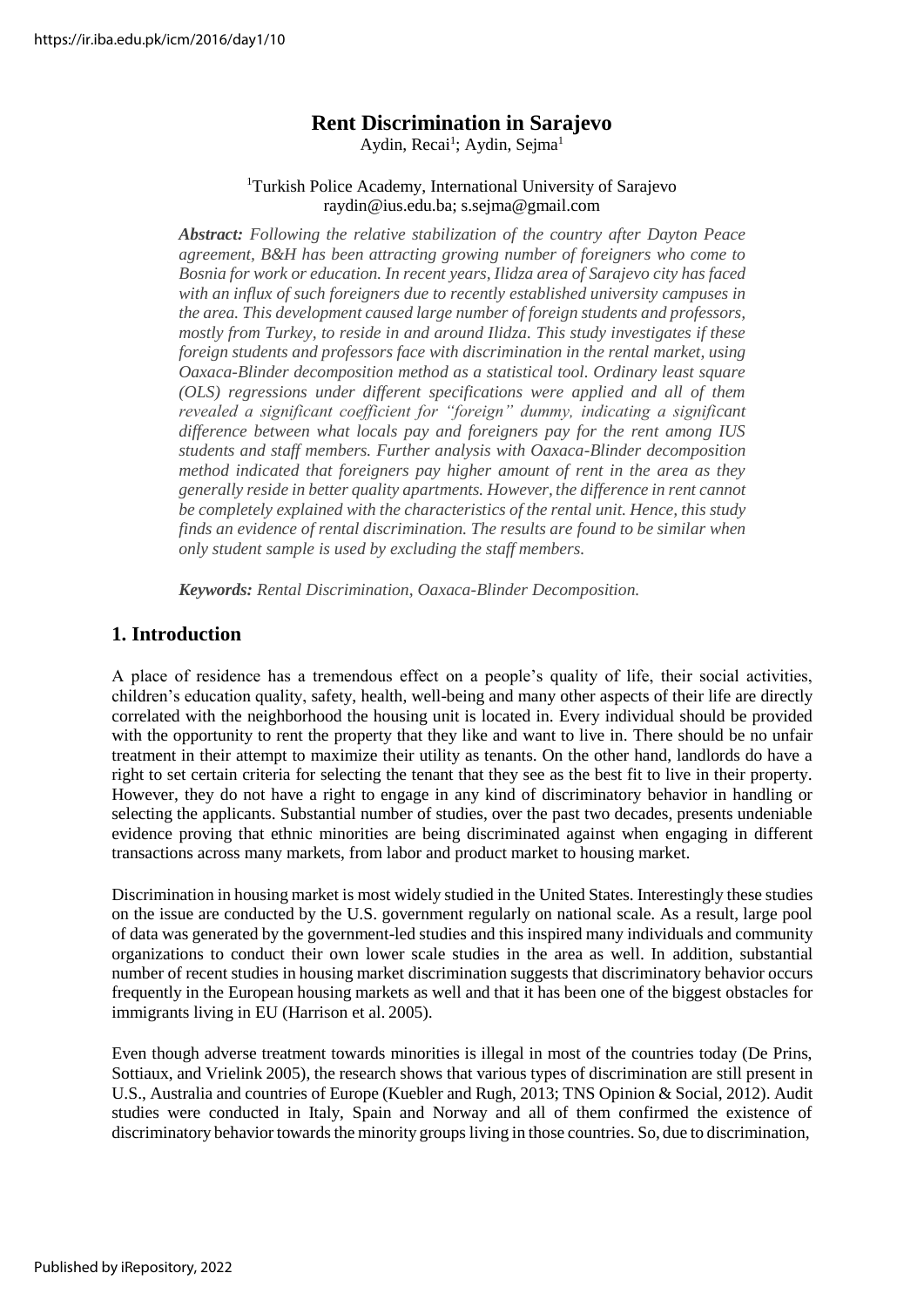## **Rent Discrimination in Sarajevo**

Aydin, Recai<sup>1</sup>; Aydin, Sejma<sup>1</sup>

#### <sup>1</sup>Turkish Police Academy, International University of Sarajevo raydin@ius.edu.ba; [s.sejma@gmail.com](mailto:s.sejma@gmail.com)

*Abstract: Following the relative stabilization of the country after Dayton Peace agreement, B&H has been attracting growing number of foreigners who come to Bosnia for work or education. In recent years, Ilidza area of Sarajevo city has faced with an influx of such foreigners due to recently established university campuses in the area. This development caused large number of foreign students and professors, mostly from Turkey, to reside in and around Ilidza. This study investigates if these foreign students and professors face with discrimination in the rental market, using Oaxaca-Blinder decomposition method as a statistical tool. Ordinary least square (OLS) regressions under different specifications were applied and all of them revealed a significant coefficient for "foreign" dummy, indicating a significant difference between what locals pay and foreigners pay for the rent among IUS students and staff members. Further analysis with Oaxaca-Blinder decomposition method indicated that foreigners pay higher amount of rent in the area as they generally reside in better quality apartments. However, the difference in rent cannot be completely explained with the characteristics of the rental unit. Hence, this study finds an evidence of rental discrimination. The results are found to be similar when only student sample is used by excluding the staff members.*

*Keywords: Rental Discrimination, Oaxaca-Blinder Decomposition.*

### **1. Introduction**

A place of residence has a tremendous effect on a people's quality of life, their social activities, children's education quality, safety, health, well-being and many other aspects of their life are directly correlated with the neighborhood the housing unit is located in. Every individual should be provided with the opportunity to rent the property that they like and want to live in. There should be no unfair treatment in their attempt to maximize their utility as tenants. On the other hand, landlords do have a right to set certain criteria for selecting the tenant that they see as the best fit to live in their property. However, they do not have a right to engage in any kind of discriminatory behavior in handling or selecting the applicants. Substantial number of studies, over the past two decades, presents undeniable evidence proving that ethnic minorities are being discriminated against when engaging in different transactions across many markets, from labor and product market to housing market.

Discrimination in housing market is most widely studied in the United States. Interestingly these studies on the issue are conducted by the U.S. government regularly on national scale. As a result, large pool of data was generated by the government-led studies and this inspired many individuals and community organizations to conduct their own lower scale studies in the area as well. In addition, substantial number of recent studies in housing market discrimination suggests that discriminatory behavior occurs frequently in the European housing markets as well and that it has been one of the biggest obstacles for immigrants living in EU (Harrison et al. 2005).

Even though adverse treatment towards minorities is illegal in most of the countries today (De Prins, Sottiaux, and Vrielink 2005), the research shows that various types of discrimination are still present in U.S., Australia and countries of Europe (Kuebler and Rugh, 2013; TNS Opinion & Social, 2012). Audit studies were conducted in Italy, Spain and Norway and all of them confirmed the existence of discriminatory behavior towards the minority groups living in those countries. So, due to discrimination,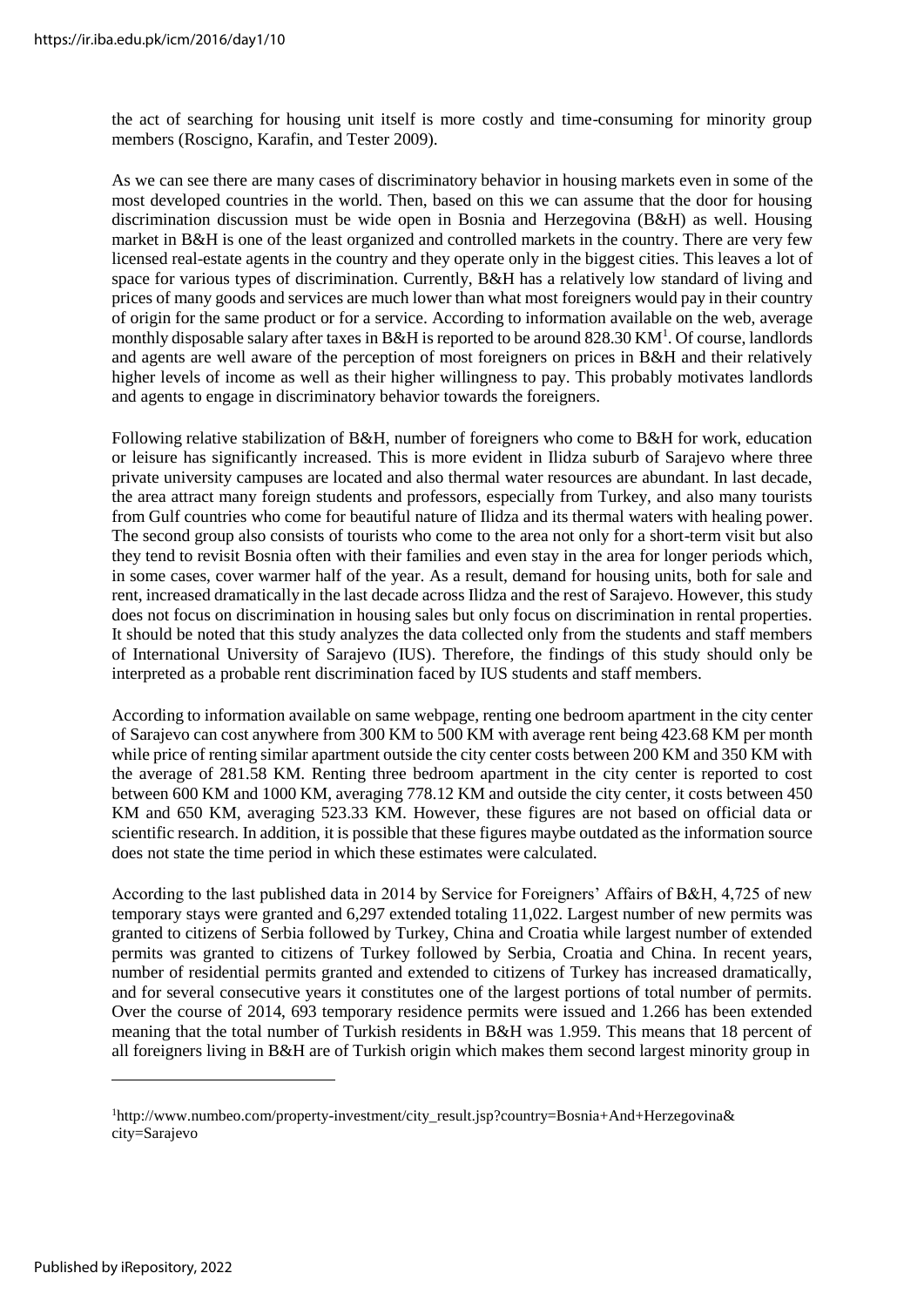the act of searching for housing unit itself is more costly and time-consuming for minority group members (Roscigno, Karafin, and Tester 2009).

As we can see there are many cases of discriminatory behavior in housing markets even in some of the most developed countries in the world. Then, based on this we can assume that the door for housing discrimination discussion must be wide open in Bosnia and Herzegovina (B&H) as well. Housing market in B&H is one of the least organized and controlled markets in the country. There are very few licensed real-estate agents in the country and they operate only in the biggest cities. This leaves a lot of space for various types of discrimination. Currently, B&H has a relatively low standard of living and prices of many goods and services are much lower than what most foreigners would pay in their country of origin for the same product or for a service. According to information available on the web, average monthly disposable salary after taxes in B&H is reported to be around  $828.30$  KM<sup>1</sup>. Of course, landlords and agents are well aware of the perception of most foreigners on prices in B&H and their relatively higher levels of income as well as their higher willingness to pay. This probably motivates landlords and agents to engage in discriminatory behavior towards the foreigners.

Following relative stabilization of B&H, number of foreigners who come to B&H for work, education or leisure has significantly increased. This is more evident in Ilidza suburb of Sarajevo where three private university campuses are located and also thermal water resources are abundant. In last decade, the area attract many foreign students and professors, especially from Turkey, and also many tourists from Gulf countries who come for beautiful nature of Ilidza and its thermal waters with healing power. The second group also consists of tourists who come to the area not only for a short-term visit but also they tend to revisit Bosnia often with their families and even stay in the area for longer periods which, in some cases, cover warmer half of the year. As a result, demand for housing units, both for sale and rent, increased dramatically in the last decade across Ilidza and the rest of Sarajevo. However, this study does not focus on discrimination in housing sales but only focus on discrimination in rental properties. It should be noted that this study analyzes the data collected only from the students and staff members of International University of Sarajevo (IUS). Therefore, the findings of this study should only be interpreted as a probable rent discrimination faced by IUS students and staff members.

According to information available on same webpage, renting one bedroom apartment in the city center of Sarajevo can cost anywhere from 300 KM to 500 KM with average rent being 423.68 KM per month while price of renting similar apartment outside the city center costs between 200 KM and 350 KM with the average of 281.58 KM. Renting three bedroom apartment in the city center is reported to cost between 600 KM and 1000 KM, averaging 778.12 KM and outside the city center, it costs between 450 KM and 650 KM, averaging 523.33 KM. However, these figures are not based on official data or scientific research. In addition, it is possible that these figures maybe outdated as the information source does not state the time period in which these estimates were calculated.

According to the last published data in 2014 by Service for Foreigners' Affairs of B&H, 4,725 of new temporary stays were granted and 6,297 extended totaling 11,022. Largest number of new permits was granted to citizens of Serbia followed by Turkey, China and Croatia while largest number of extended permits was granted to citizens of Turkey followed by Serbia, Croatia and China. In recent years, number of residential permits granted and extended to citizens of Turkey has increased dramatically, and for several consecutive years it constitutes one of the largest portions of total number of permits. Over the course of 2014, 693 temporary residence permits were issued and 1.266 has been extended meaning that the total number of Turkish residents in B&H was 1.959. This means that 18 percent of all foreigners living in B&H are of Turkish origin which makes them second largest minority group in

<sup>&</sup>lt;sup>1</sup>[http://www.numbeo.com/property-investment/city\\_result.jsp?country=Bosnia+And+Herzegovina&](http://www.numbeo.com/property-investment/city_result.jsp?country=Bosnia%2BAnd%2BHerzegovina&%20city=Sarajevo) [city=Sarajevo](http://www.numbeo.com/property-investment/city_result.jsp?country=Bosnia%2BAnd%2BHerzegovina&%20city=Sarajevo)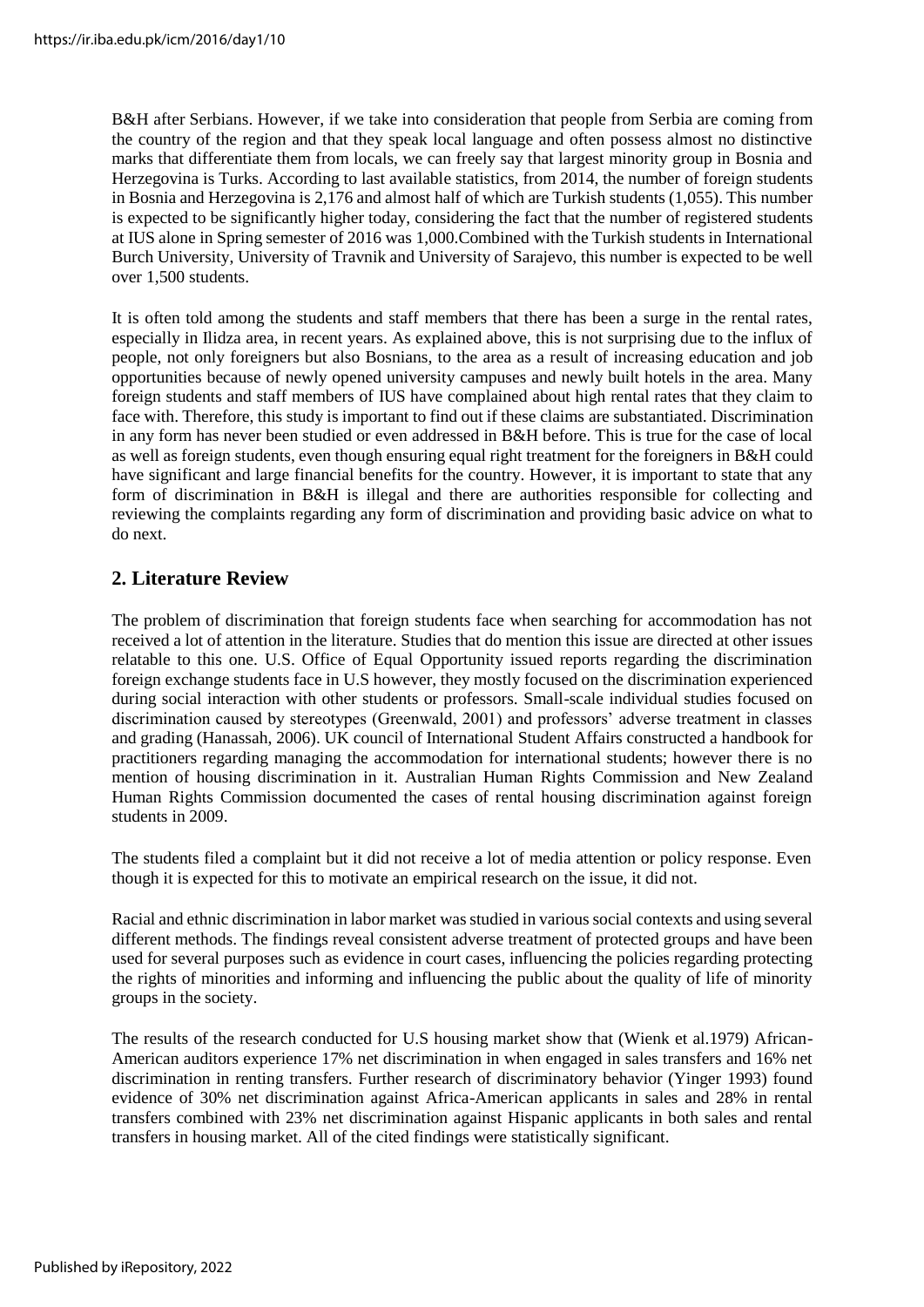B&H after Serbians. However, if we take into consideration that people from Serbia are coming from the country of the region and that they speak local language and often possess almost no distinctive marks that differentiate them from locals, we can freely say that largest minority group in Bosnia and Herzegovina is Turks. According to last available statistics, from 2014, the number of foreign students in Bosnia and Herzegovina is 2,176 and almost half of which are Turkish students (1,055). This number is expected to be significantly higher today, considering the fact that the number of registered students at IUS alone in Spring semester of 2016 was 1,000.Combined with the Turkish students in International Burch University, University of Travnik and University of Sarajevo, this number is expected to be well over 1,500 students.

It is often told among the students and staff members that there has been a surge in the rental rates, especially in Ilidza area, in recent years. As explained above, this is not surprising due to the influx of people, not only foreigners but also Bosnians, to the area as a result of increasing education and job opportunities because of newly opened university campuses and newly built hotels in the area. Many foreign students and staff members of IUS have complained about high rental rates that they claim to face with. Therefore, this study is important to find out if these claims are substantiated. Discrimination in any form has never been studied or even addressed in B&H before. This is true for the case of local as well as foreign students, even though ensuring equal right treatment for the foreigners in B&H could have significant and large financial benefits for the country. However, it is important to state that any form of discrimination in B&H is illegal and there are authorities responsible for collecting and reviewing the complaints regarding any form of discrimination and providing basic advice on what to do next.

### **2. Literature Review**

The problem of discrimination that foreign students face when searching for accommodation has not received a lot of attention in the literature. Studies that do mention this issue are directed at other issues relatable to this one. U.S. Office of Equal Opportunity issued reports regarding the discrimination foreign exchange students face in U.S however, they mostly focused on the discrimination experienced during social interaction with other students or professors. Small-scale individual studies focused on discrimination caused by stereotypes (Greenwald, 2001) and professors' adverse treatment in classes and grading (Hanassah, 2006). UK council of International Student Affairs constructed a handbook for practitioners regarding managing the accommodation for international students; however there is no mention of housing discrimination in it. Australian Human Rights Commission and New Zealand Human Rights Commission documented the cases of rental housing discrimination against foreign students in 2009.

The students filed a complaint but it did not receive a lot of media attention or policy response. Even though it is expected for this to motivate an empirical research on the issue, it did not.

Racial and ethnic discrimination in labor market wasstudied in varioussocial contexts and using several different methods. The findings reveal consistent adverse treatment of protected groups and have been used for several purposes such as evidence in court cases, influencing the policies regarding protecting the rights of minorities and informing and influencing the public about the quality of life of minority groups in the society.

The results of the research conducted for U.S housing market show that (Wienk et al.1979) African-American auditors experience 17% net discrimination in when engaged in sales transfers and 16% net discrimination in renting transfers. Further research of discriminatory behavior (Yinger 1993) found evidence of 30% net discrimination against Africa-American applicants in sales and 28% in rental transfers combined with 23% net discrimination against Hispanic applicants in both sales and rental transfers in housing market. All of the cited findings were statistically significant.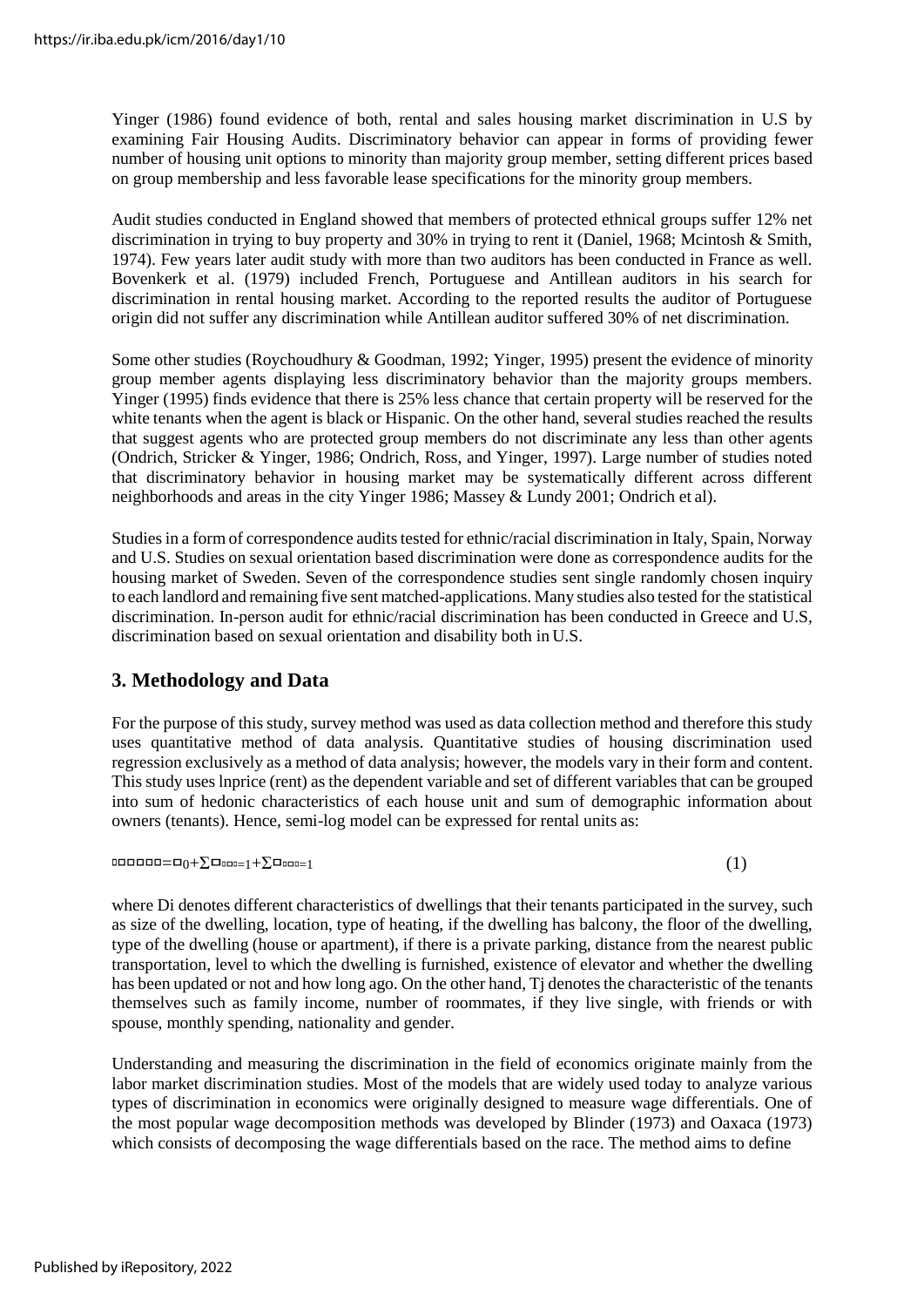Yinger (1986) found evidence of both, rental and sales housing market discrimination in U.S by examining Fair Housing Audits. Discriminatory behavior can appear in forms of providing fewer number of housing unit options to minority than majority group member, setting different prices based on group membership and less favorable lease specifications for the minority group members.

Audit studies conducted in England showed that members of protected ethnical groups suffer 12% net discrimination in trying to buy property and 30% in trying to rent it (Daniel, 1968; Mcintosh & Smith, 1974). Few years later audit study with more than two auditors has been conducted in France as well. Bovenkerk et al. (1979) included French, Portuguese and Antillean auditors in his search for discrimination in rental housing market. According to the reported results the auditor of Portuguese origin did not suffer any discrimination while Antillean auditor suffered 30% of net discrimination.

Some other studies (Roychoudhury & Goodman, 1992; Yinger, 1995) present the evidence of minority group member agents displaying less discriminatory behavior than the majority groups members. Yinger (1995) finds evidence that there is 25% less chance that certain property will be reserved for the white tenants when the agent is black or Hispanic. On the other hand, several studies reached the results that suggest agents who are protected group members do not discriminate any less than other agents (Ondrich, Stricker & Yinger, 1986; Ondrich, Ross, and Yinger, 1997). Large number of studies noted that discriminatory behavior in housing market may be systematically different across different neighborhoods and areas in the city Yinger 1986; Massey & Lundy 2001; Ondrich et al).

Studies in a form of correspondence audits tested for ethnic/racial discrimination in Italy, Spain, Norway and U.S. Studies on sexual orientation based discrimination were done as correspondence audits for the housing market of Sweden. Seven of the correspondence studies sent single randomly chosen inquiry to each landlord and remaining five sent matched-applications. Many studies also tested for the statistical discrimination. In-person audit for ethnic/racial discrimination has been conducted in Greece and U.S, discrimination based on sexual orientation and disability both in U.S.

# **3. Methodology and Data**

For the purpose of this study, survey method was used as data collection method and therefore this study uses quantitative method of data analysis. Quantitative studies of housing discrimination used regression exclusively as a method of data analysis; however, the models vary in their form and content. This study uses lnprice (rent) as the dependent variable and set of different variables that can be grouped into sum of hedonic characteristics of each house unit and sum of demographic information about owners (tenants). Hence, semi-log model can be expressed for rental units as:

 $\text{1}$ 

where Di denotes different characteristics of dwellings that their tenants participated in the survey, such as size of the dwelling, location, type of heating, if the dwelling has balcony, the floor of the dwelling, type of the dwelling (house or apartment), if there is a private parking, distance from the nearest public transportation, level to which the dwelling is furnished, existence of elevator and whether the dwelling has been updated or not and how long ago. On the other hand, T<sub>i</sub> denotes the characteristic of the tenants themselves such as family income, number of roommates, if they live single, with friends or with spouse, monthly spending, nationality and gender.

Understanding and measuring the discrimination in the field of economics originate mainly from the labor market discrimination studies. Most of the models that are widely used today to analyze various types of discrimination in economics were originally designed to measure wage differentials. One of the most popular wage decomposition methods was developed by Blinder (1973) and Oaxaca (1973) which consists of decomposing the wage differentials based on the race. The method aims to define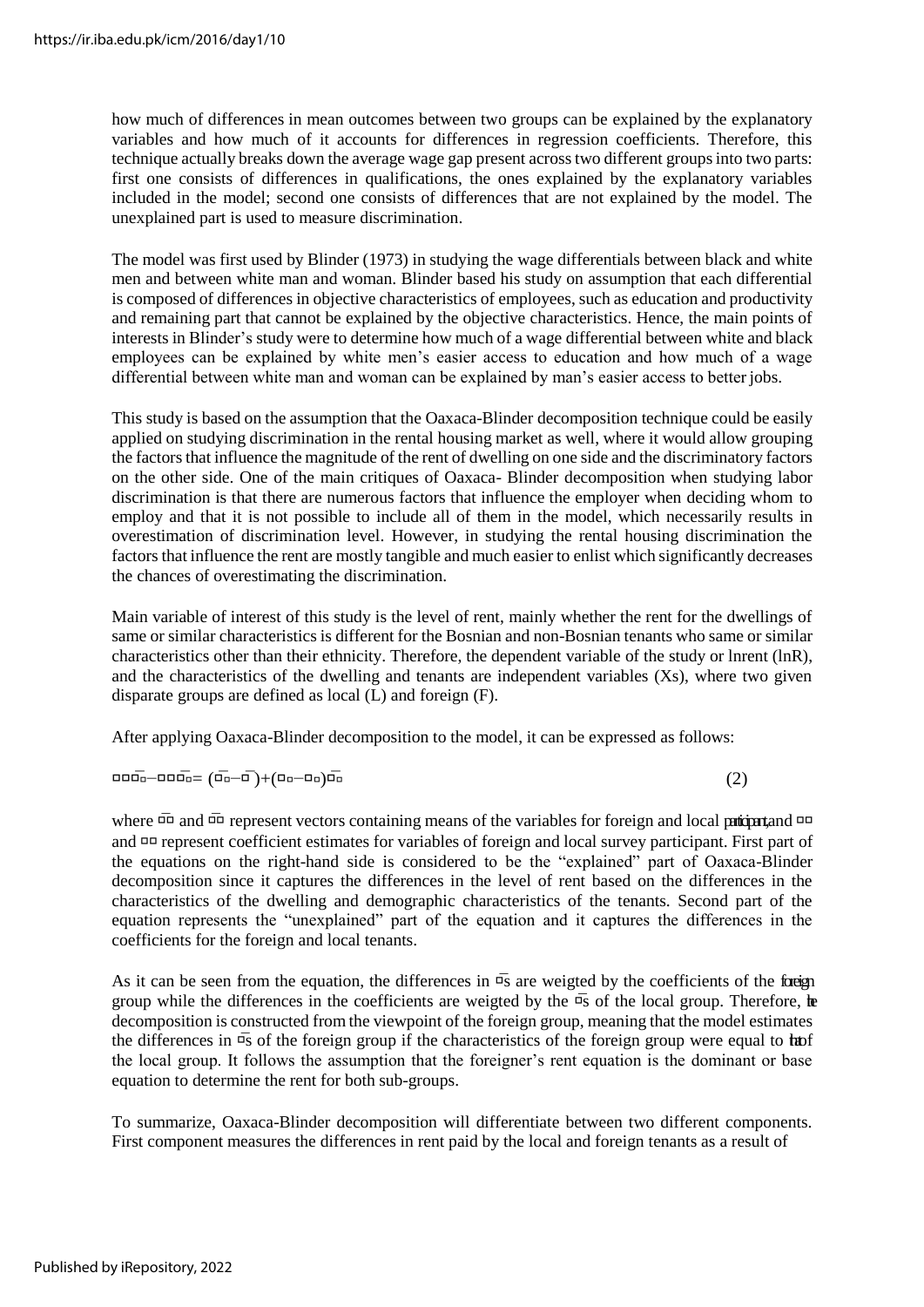how much of differences in mean outcomes between two groups can be explained by the explanatory variables and how much of it accounts for differences in regression coefficients. Therefore, this technique actually breaks down the average wage gap present across two different groups into two parts: first one consists of differences in qualifications, the ones explained by the explanatory variables included in the model; second one consists of differences that are not explained by the model. The unexplained part is used to measure discrimination.

The model was first used by Blinder (1973) in studying the wage differentials between black and white men and between white man and woman. Blinder based his study on assumption that each differential is composed of differences in objective characteristics of employees, such as education and productivity and remaining part that cannot be explained by the objective characteristics. Hence, the main points of interests in Blinder's study were to determine how much of a wage differential between white and black employees can be explained by white men's easier access to education and how much of a wage differential between white man and woman can be explained by man's easier access to better jobs.

This study is based on the assumption that the Oaxaca-Blinder decomposition technique could be easily applied on studying discrimination in the rental housing market as well, where it would allow grouping the factors that influence the magnitude of the rent of dwelling on one side and the discriminatory factors on the other side. One of the main critiques of Oaxaca- Blinder decomposition when studying labor discrimination is that there are numerous factors that influence the employer when deciding whom to employ and that it is not possible to include all of them in the model, which necessarily results in overestimation of discrimination level. However, in studying the rental housing discrimination the factors that influence the rent are mostly tangible and much easier to enlist which significantly decreases the chances of overestimating the discrimination.

Main variable of interest of this study is the level of rent, mainly whether the rent for the dwellings of same or similar characteristicsis different for the Bosnian and non-Bosnian tenants who same or similar characteristics other than their ethnicity. Therefore, the dependent variable of the study or lnrent (lnR), and the characteristics of the dwelling and tenants are independent variables (Xs), where two given disparate groups are defined as local (L) and foreign (F).

After applying Oaxaca-Blinder decomposition to the model, it can be expressed as follows:

 $\overline{\text{---}}$   $\overline{\text{---}}$   $\overline{\text{---}}$   $\overline{\text{---}}$   $\overline{\text{---}}$   $\overline{\text{---}}$   $\overline{\text{---}}$   $\overline{\text{---}}$   $\overline{\text{---}}$   $\overline{\text{---}}$   $\overline{\text{---}}$   $\overline{\text{---}}$   $\overline{\text{---}}$   $\overline{\text{---}}$   $\overline{\text{---}}$   $\overline{\text{---}}$   $\overline{\text{---}}$   $\overline{\text{---}}$   $\overline{\text{---}}$   $\overline{\text{---}}$ 

where  $\overline{u}$  and  $\overline{u}$  represent vectors containing means of the variables for foreign and local participant, and  $u$ and represent coefficient estimates for variables of foreign and local survey participant. First part of the equations on the right-hand side is considered to be the "explained" part of Oaxaca-Blinder decomposition since it captures the differences in the level of rent based on the differences in the characteristics of the dwelling and demographic characteristics of the tenants. Second part of the equation represents the "unexplained" part of the equation and it captures the differences in the coefficients for the foreign and local tenants.

As it can be seen from the equation, the differences in  $\bar{\mathfrak{g}}$  are weigted by the coefficients of the foreign group while the differences in the coefficients are weigted by the  $\bar{\mathfrak{g}}$  of the local group. Therefore,  $\mathfrak{h}$ decomposition is constructed from the viewpoint of the foreign group, meaning that the model estimates the differences in  $\bar{qs}$  of the foreign group if the characteristics of the foreign group were equal to **ho**f the local group. It follows the assumption that the foreigner's rent equation is the dominant or base equation to determine the rent for both sub-groups.

To summarize, Oaxaca-Blinder decomposition will differentiate between two different components. First component measures the differences in rent paid by the local and foreign tenants as a result of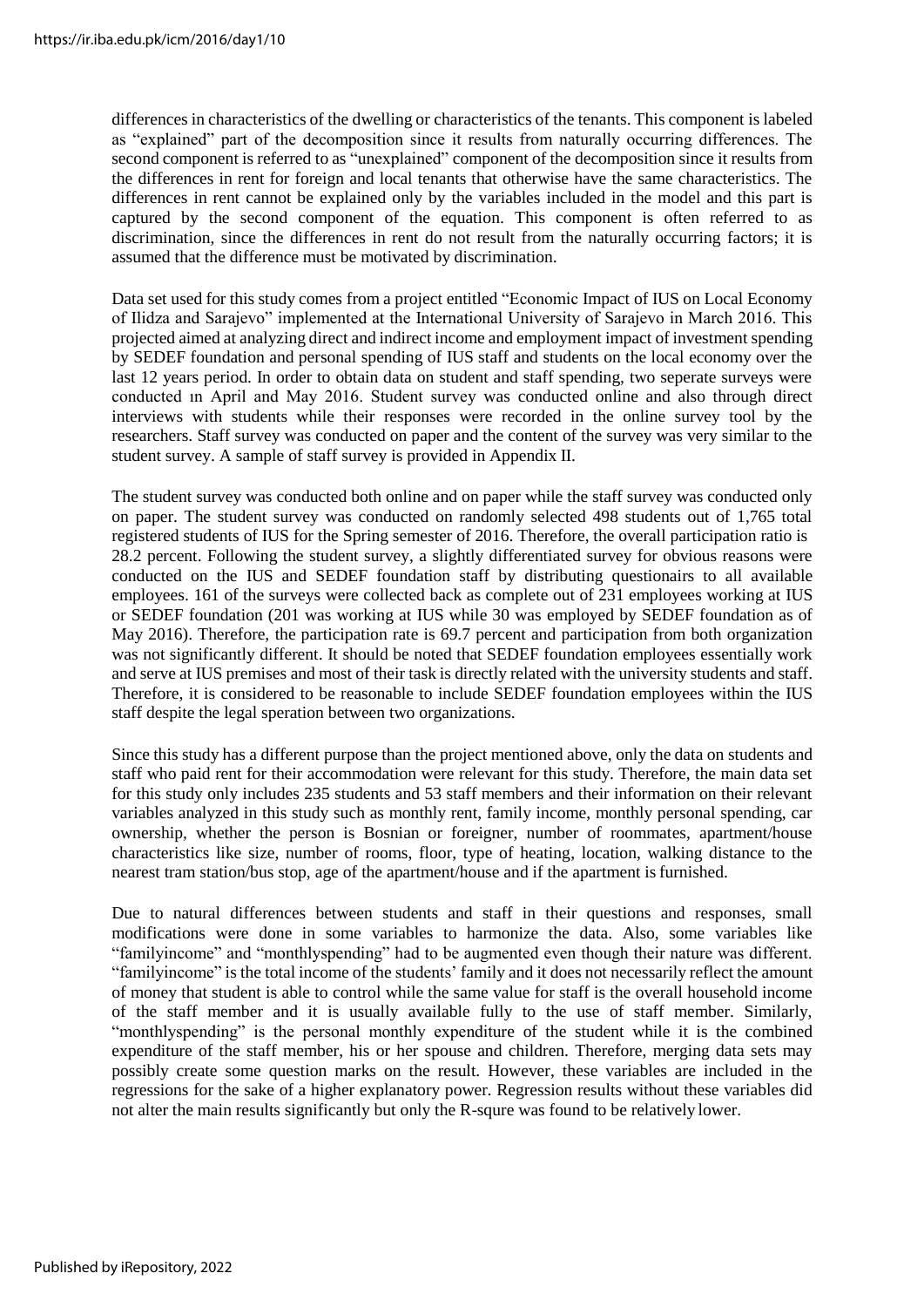differences in characteristics of the dwelling or characteristics of the tenants. This component is labeled as "explained" part of the decomposition since it results from naturally occurring differences. The second component is referred to as "unexplained" component of the decomposition since it results from the differences in rent for foreign and local tenants that otherwise have the same characteristics. The differences in rent cannot be explained only by the variables included in the model and this part is captured by the second component of the equation. This component is often referred to as discrimination, since the differences in rent do not result from the naturally occurring factors; it is assumed that the difference must be motivated by discrimination.

Data set used for this study comes from a project entitled "Economic Impact of IUS on Local Economy of Ilidza and Sarajevo" implemented at the International University of Sarajevo in March 2016. This projected aimed at analyzing direct and indirect income and employment impact of investment spending by SEDEF foundation and personal spending of IUS staff and students on the local economy over the last 12 years period. In order to obtain data on student and staff spending, two seperate surveys were conducted ın April and May 2016. Student survey was conducted online and also through direct interviews with students while their responses were recorded in the online survey tool by the researchers. Staff survey was conducted on paper and the content of the survey was very similar to the student survey. A sample of staff survey is provided in Appendix II.

The student survey was conducted both online and on paper while the staff survey was conducted only on paper. The student survey was conducted on randomly selected 498 students out of 1,765 total registered students of IUS for the Spring semester of 2016. Therefore, the overall participation ratio is 28.2 percent. Following the student survey, a slightly differentiated survey for obvious reasons were conducted on the IUS and SEDEF foundation staff by distributing questionairs to all available employees. 161 of the surveys were collected back as complete out of 231 employees working at IUS or SEDEF foundation (201 was working at IUS while 30 was employed by SEDEF foundation as of May 2016). Therefore, the participation rate is 69.7 percent and participation from both organization was not significantly different. It should be noted that SEDEF foundation employees essentially work and serve at IUS premises and most of their task is directly related with the university students and staff. Therefore, it is considered to be reasonable to include SEDEF foundation employees within the IUS staff despite the legal speration between two organizations.

Since this study has a different purpose than the project mentioned above, only the data on students and staff who paid rent for their accommodation were relevant for this study. Therefore, the main data set for this study only includes 235 students and 53 staff members and their information on their relevant variables analyzed in this study such as monthly rent, family income, monthly personal spending, car ownership, whether the person is Bosnian or foreigner, number of roommates, apartment/house characteristics like size, number of rooms, floor, type of heating, location, walking distance to the nearest tram station/bus stop, age of the apartment/house and if the apartment isfurnished.

Due to natural differences between students and staff in their questions and responses, small modifications were done in some variables to harmonize the data. Also, some variables like "familyincome" and "monthlyspending" had to be augmented even though their nature was different. "familyincome" is the total income of the students' family and it does not necessarily reflect the amount of money that student is able to control while the same value for staff is the overall household income of the staff member and it is usually available fully to the use of staff member. Similarly, "monthlyspending" is the personal monthly expenditure of the student while it is the combined expenditure of the staff member, his or her spouse and children. Therefore, merging data sets may possibly create some question marks on the result. However, these variables are included in the regressions for the sake of a higher explanatory power. Regression results without these variables did not alter the main results significantly but only the R-squre was found to be relatively lower.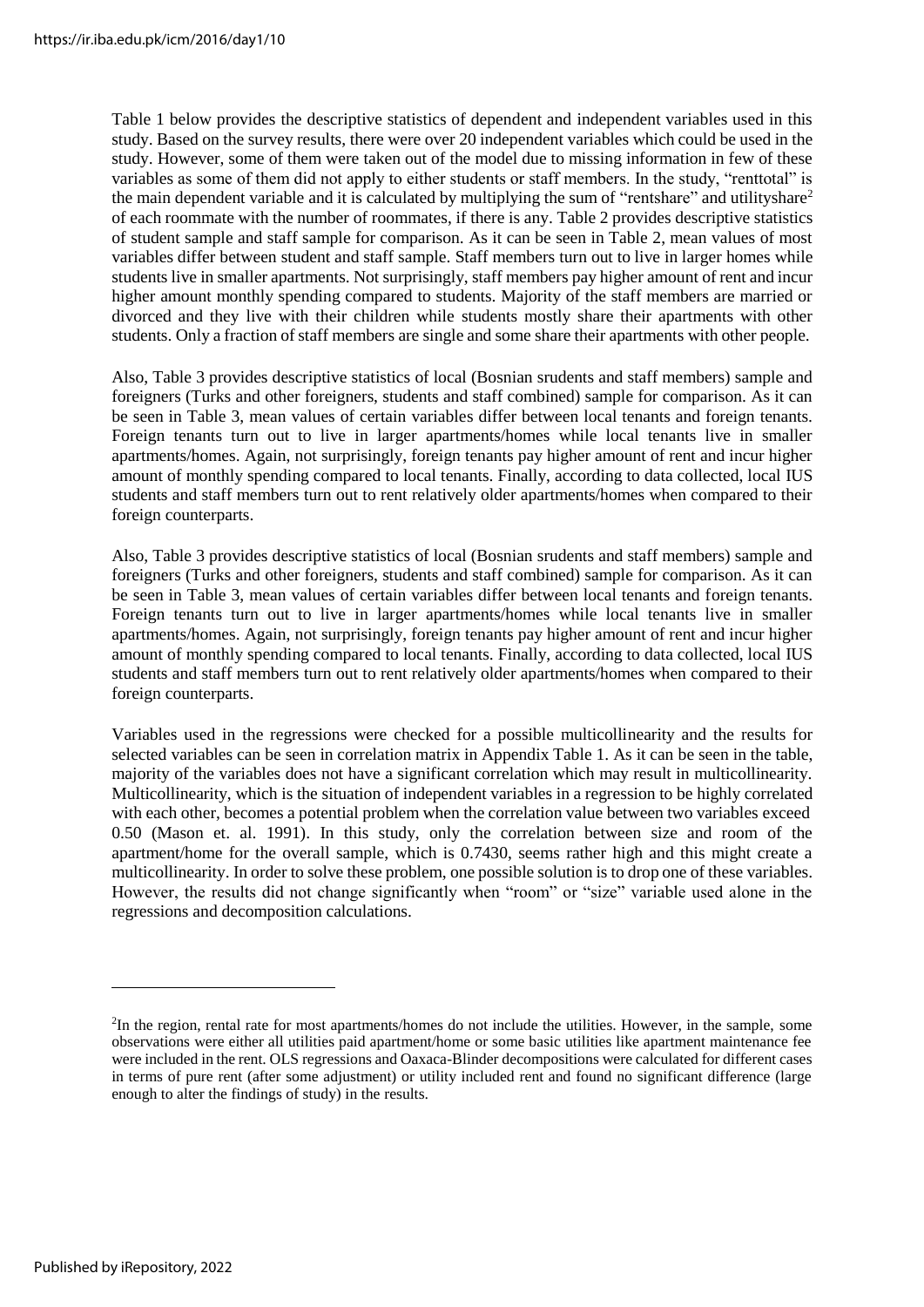Table 1 below provides the descriptive statistics of dependent and independent variables used in this study. Based on the survey results, there were over 20 independent variables which could be used in the study. However, some of them were taken out of the model due to missing information in few of these variables as some of them did not apply to either students or staff members. In the study, "renttotal" is the main dependent variable and it is calculated by multiplying the sum of "rentshare" and utilityshare<sup>2</sup> of each roommate with the number of roommates, if there is any. Table 2 provides descriptive statistics of student sample and staff sample for comparison. As it can be seen in Table 2, mean values of most variables differ between student and staff sample. Staff members turn out to live in larger homes while students live in smaller apartments. Not surprisingly, staff members pay higher amount of rent and incur higher amount monthly spending compared to students. Majority of the staff members are married or divorced and they live with their children while students mostly share their apartments with other students. Only a fraction of staff members are single and some share their apartments with other people.

Also, Table 3 provides descriptive statistics of local (Bosnian srudents and staff members) sample and foreigners (Turks and other foreigners, students and staff combined) sample for comparison. As it can be seen in Table 3, mean values of certain variables differ between local tenants and foreign tenants. Foreign tenants turn out to live in larger apartments/homes while local tenants live in smaller apartments/homes. Again, not surprisingly, foreign tenants pay higher amount of rent and incur higher amount of monthly spending compared to local tenants. Finally, according to data collected, local IUS students and staff members turn out to rent relatively older apartments/homes when compared to their foreign counterparts.

Also, Table 3 provides descriptive statistics of local (Bosnian srudents and staff members) sample and foreigners (Turks and other foreigners, students and staff combined) sample for comparison. As it can be seen in Table 3, mean values of certain variables differ between local tenants and foreign tenants. Foreign tenants turn out to live in larger apartments/homes while local tenants live in smaller apartments/homes. Again, not surprisingly, foreign tenants pay higher amount of rent and incur higher amount of monthly spending compared to local tenants. Finally, according to data collected, local IUS students and staff members turn out to rent relatively older apartments/homes when compared to their foreign counterparts.

Variables used in the regressions were checked for a possible multicollinearity and the results for selected variables can be seen in correlation matrix in Appendix Table 1. As it can be seen in the table, majority of the variables does not have a significant correlation which may result in multicollinearity. Multicollinearity, which is the situation of independent variables in a regression to be highly correlated with each other, becomes a potential problem when the correlation value between two variables exceed 0.50 (Mason et. al. 1991). In this study, only the correlation between size and room of the apartment/home for the overall sample, which is 0.7430, seems rather high and this might create a multicollinearity. In order to solve these problem, one possible solution is to drop one of these variables. However, the results did not change significantly when "room" or "size" variable used alone in the regressions and decomposition calculations.

<sup>2</sup> In the region, rental rate for most apartments/homes do not include the utilities. However, in the sample, some observations were either all utilities paid apartment/home or some basic utilities like apartment maintenance fee were included in the rent. OLS regressions and Oaxaca-Blinder decompositions were calculated for different cases in terms of pure rent (after some adjustment) or utility included rent and found no significant difference (large enough to alter the findings of study) in the results.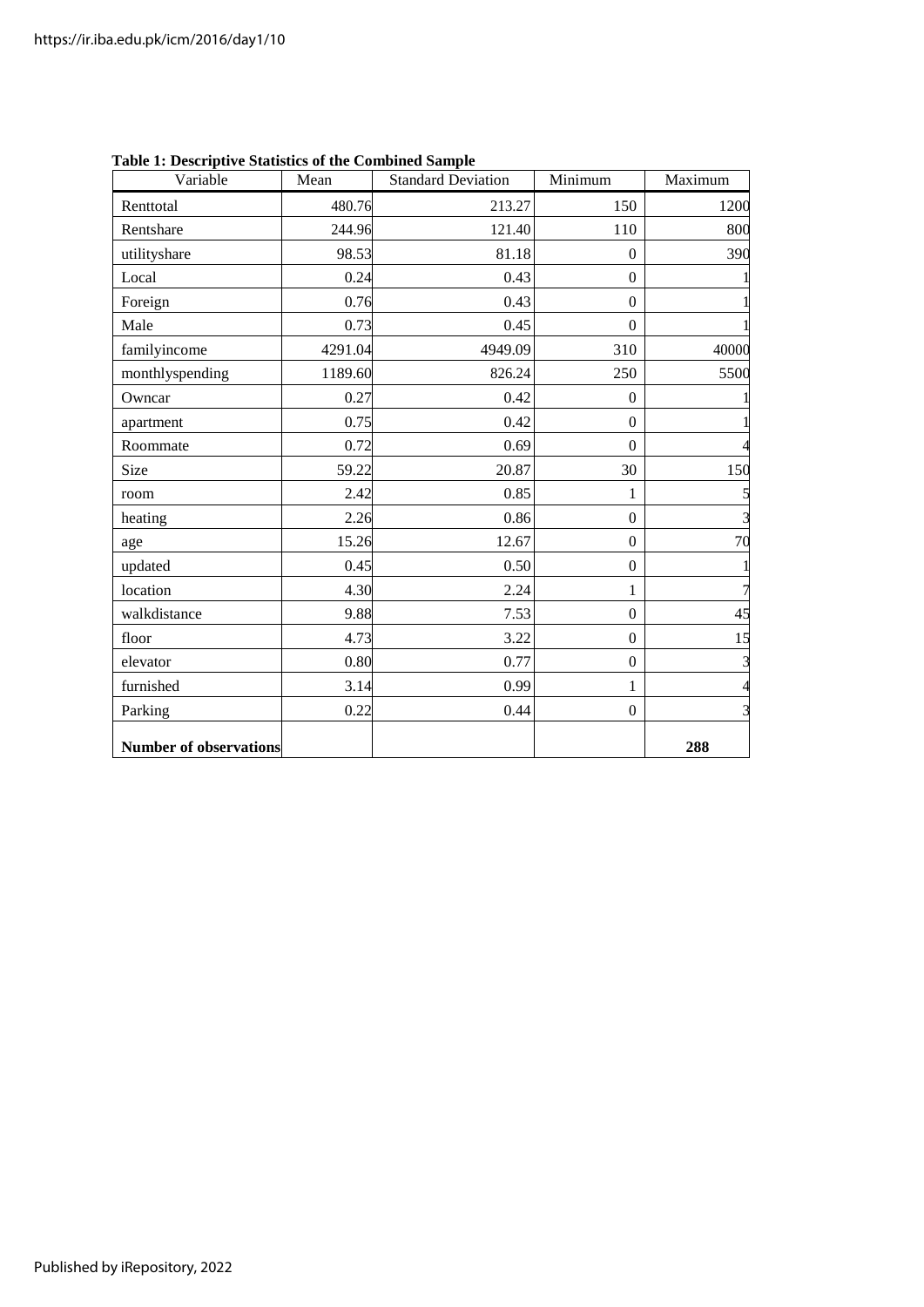| Variable                      | Mean    | <b>Standard Deviation</b> | Minimum          | Maximum        |
|-------------------------------|---------|---------------------------|------------------|----------------|
| Renttotal                     | 480.76  | 213.27                    | 150              | 1200           |
| Rentshare                     | 244.96  | 121.40                    | 110              | 800            |
| utilityshare                  | 98.53   | 81.18                     | $\theta$         | 390            |
| Local                         | 0.24    | 0.43                      | $\mathbf{0}$     |                |
| Foreign                       | 0.76    | 0.43                      | $\mathbf{0}$     |                |
| Male                          | 0.73    | 0.45                      | $\Omega$         |                |
| familyincome                  | 4291.04 | 4949.09                   | 310              | 40000          |
| monthlyspending               | 1189.60 | 826.24                    | 250              | 5500           |
| Owncar                        | 0.27    | 0.42                      | $\theta$         |                |
| apartment                     | 0.75    | 0.42                      | $\overline{0}$   |                |
| Roommate                      | 0.72    | 0.69                      | $\theta$         | 4              |
| Size                          | 59.22   | 20.87                     | 30               | 150            |
| room                          | 2.42    | 0.85                      | 1                |                |
| heating                       | 2.26    | 0.86                      | $\boldsymbol{0}$ | $\overline{3}$ |
| age                           | 15.26   | 12.67                     | $\theta$         | 70             |
| updated                       | 0.45    | 0.50                      | $\boldsymbol{0}$ |                |
| location                      | 4.30    | 2.24                      | 1                | $\overline{7}$ |
| walkdistance                  | 9.88    | 7.53                      | $\Omega$         | 45             |
| floor                         | 4.73    | 3.22                      | $\Omega$         | 15             |
| elevator                      | 0.80    | 0.77                      | $\mathbf{0}$     | 3              |
| furnished                     | 3.14    | 0.99                      | 1                | $\overline{4}$ |
| Parking                       | 0.22    | 0.44                      | $\mathbf{0}$     | 3              |
| <b>Number of observations</b> |         |                           |                  | 288            |

**Table 1: Descriptive Statistics of the Combined Sample**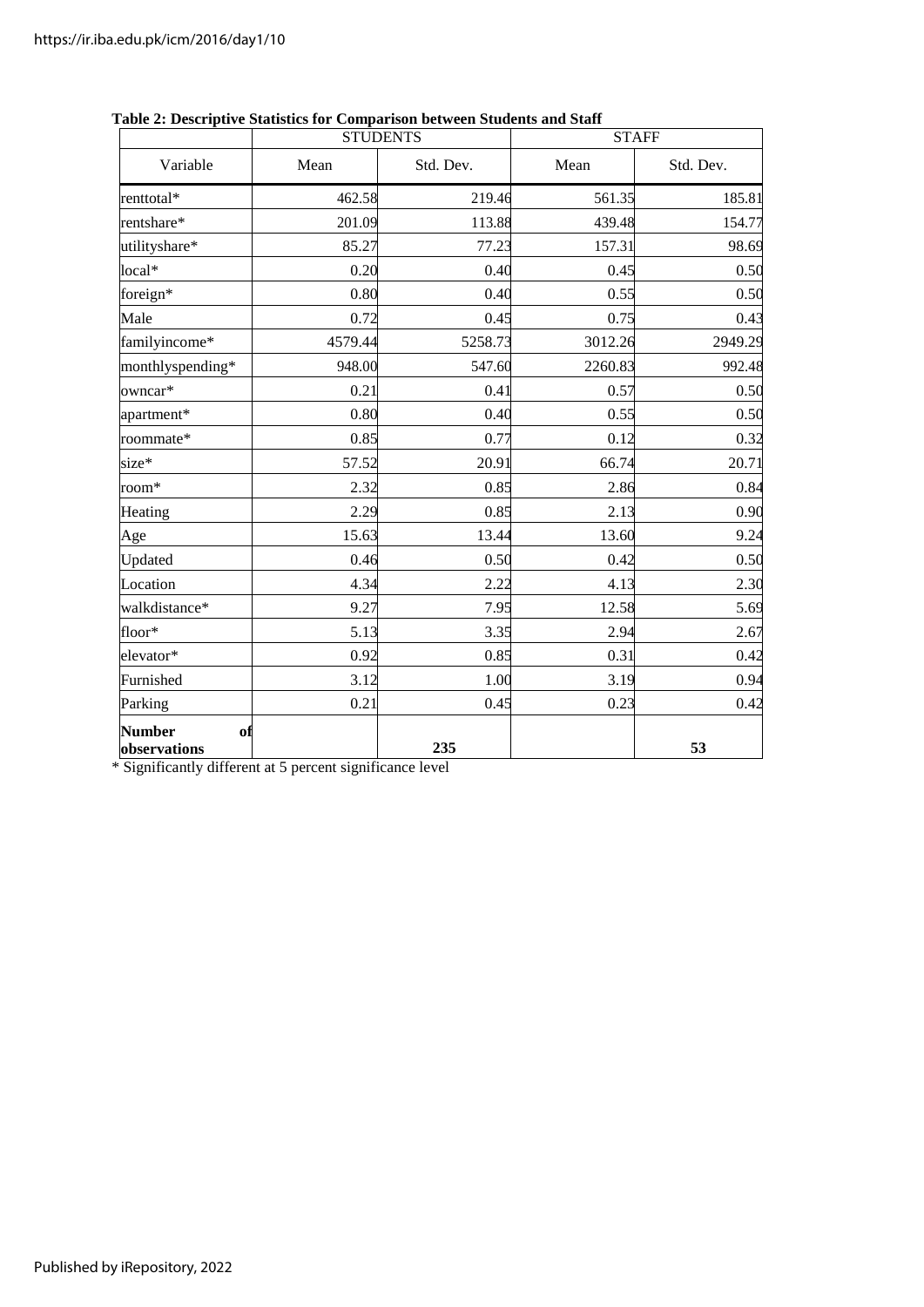|                                     | <b>STUDENTS</b>   |         | <b>STAFF</b> |           |  |
|-------------------------------------|-------------------|---------|--------------|-----------|--|
| Variable                            | Std. Dev.<br>Mean |         | Mean         | Std. Dev. |  |
| renttotal*                          | 462.58            | 219.46  | 561.35       |           |  |
| rentshare*                          | 201.09            | 113.88  | 439.48       | 154.77    |  |
| utilityshare*                       | 85.27             | 77.23   | 157.31       | 98.69     |  |
| local*                              | 0.20              | 0.40    | 0.45         | 0.50      |  |
| foreign*                            | 0.80              | 0.40    | 0.55         | 0.50      |  |
| Male                                | 0.72              | 0.45    | 0.75         | 0.43      |  |
| familyincome*                       | 4579.44           | 5258.73 | 3012.26      | 2949.29   |  |
| monthlyspending*                    | 948.00            | 547.60  | 2260.83      | 992.48    |  |
| owncar*                             | 0.21              | 0.41    | 0.57         | 0.50      |  |
| apartment*                          | 0.80              | 0.40    | 0.55         | 0.50      |  |
| roommate*                           | 0.85              | 0.77    | 0.12         | 0.32      |  |
| size*                               | 57.52             | 20.91   | 66.74        | 20.71     |  |
| room*                               | 2.32              | 0.85    | 2.86         | 0.84      |  |
| Heating                             | 2.29              | 0.85    | 2.13         | 0.90      |  |
| Age                                 | 15.63             | 13.44   | 13.60        | 9.24      |  |
| Updated                             | 0.46              | 0.50    | 0.42         | 0.50      |  |
| Location                            | 4.34              | 2.22    | 4.13         | 2.30      |  |
| walkdistance*                       | 9.27              | 7.95    | 12.58        | 5.69      |  |
| floor*                              | 5.13              | 3.35    | 2.94         | 2.67      |  |
| elevator*                           | 0.92              | 0.85    | 0.31         | 0.42      |  |
| Furnished                           | 3.12              | 1.00    | 3.19         | 0.94      |  |
| Parking                             | 0.21              | 0.45    | 0.23         | 0.42      |  |
| <b>Number</b><br>of<br>observations |                   | 235     |              | 53        |  |

#### **Table 2: Descriptive Statistics for Comparison between Students and Staff**

\* Significantly different at 5 percent significance level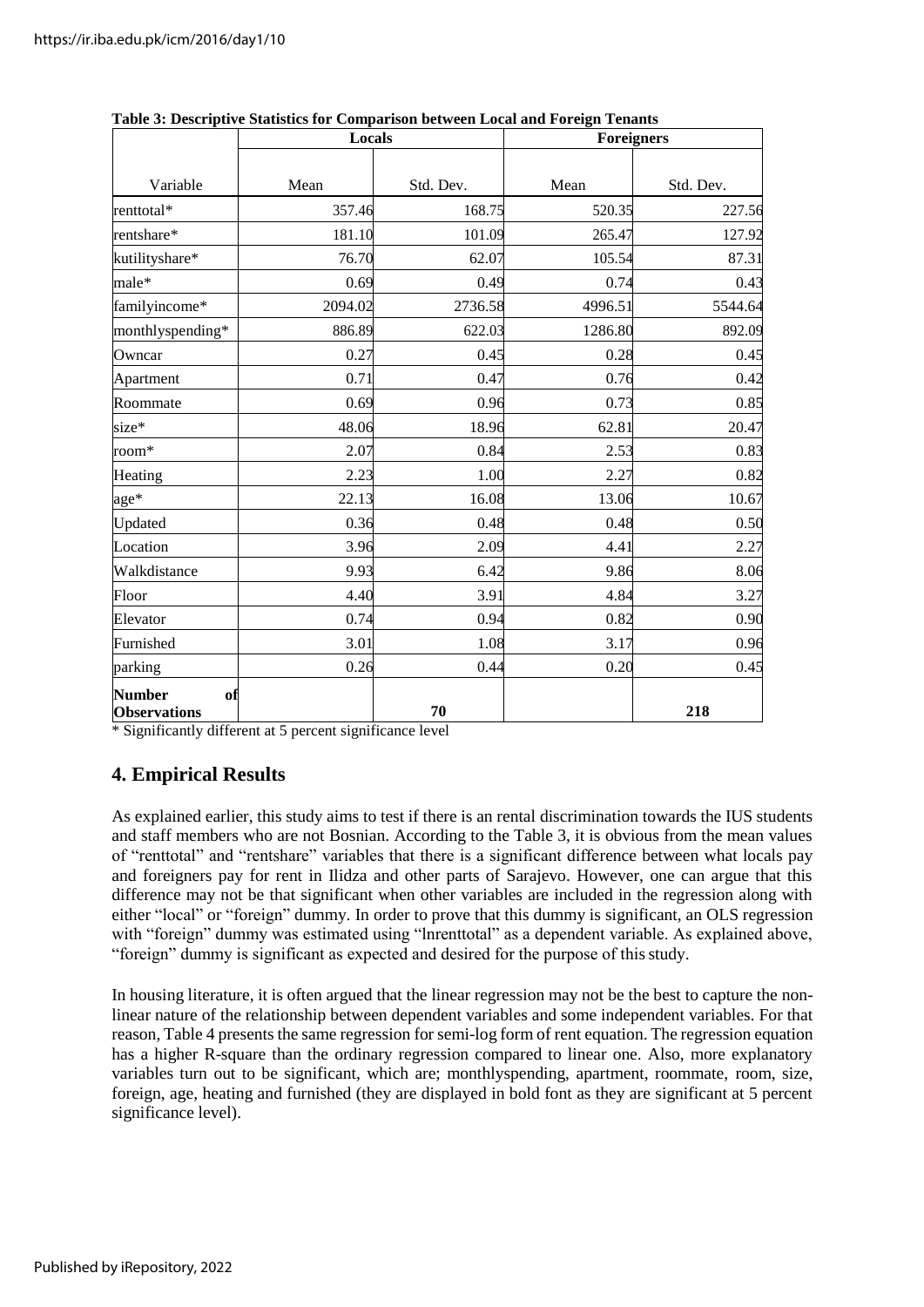|                                            | Locals  |           | raoic of B cocriptive Dumbles for Comparison been cen Boem and I oreign<br>Foreigners |           |  |  |
|--------------------------------------------|---------|-----------|---------------------------------------------------------------------------------------|-----------|--|--|
| Variable                                   | Mean    | Std. Dev. | Mean                                                                                  | Std. Dev. |  |  |
| renttotal*                                 | 357.46  | 168.75    | 520.35                                                                                | 227.56    |  |  |
| rentshare*                                 | 181.10  | 101.09    | 265.47                                                                                | 127.92    |  |  |
| kutilityshare*                             | 76.70   | 62.07     | 105.54                                                                                | 87.31     |  |  |
| male*                                      | 0.69    | 0.49      | 0.74                                                                                  | 0.43      |  |  |
| familyincome*                              | 2094.02 | 2736.58   | 4996.51                                                                               | 5544.64   |  |  |
| monthlyspending*                           | 886.89  | 622.03    | 1286.80                                                                               | 892.09    |  |  |
| Owncar                                     | 0.27    | 0.45      | 0.28                                                                                  | 0.45      |  |  |
| Apartment                                  | 0.71    | 0.47      | 0.76                                                                                  | 0.42      |  |  |
| Roommate                                   | 0.69    | 0.96      | 0.73                                                                                  | 0.85      |  |  |
| size*                                      | 48.06   | 18.96     | 62.81                                                                                 | 20.47     |  |  |
| room*                                      | 2.07    | 0.84      | 2.53                                                                                  | 0.83      |  |  |
| Heating                                    | 2.23    | 1.00      | 2.27                                                                                  | 0.82      |  |  |
| age*                                       | 22.13   | 16.08     | 13.06                                                                                 | 10.67     |  |  |
| Updated                                    | 0.36    | 0.48      | 0.48                                                                                  | 0.50      |  |  |
| Location                                   | 3.96    | 2.09      | 4.41                                                                                  | 2.27      |  |  |
| Walkdistance                               | 9.93    | 6.42      | 9.86                                                                                  | 8.06      |  |  |
| Floor                                      | 4.40    | 3.91      | 4.84                                                                                  | 3.27      |  |  |
| Elevator                                   | 0.74    | 0.94      | 0.82                                                                                  | 0.90      |  |  |
| Furnished                                  | 3.01    | 1.08      | 3.17                                                                                  | 0.96      |  |  |
| parking                                    | 0.26    | 0.44      | 0.20                                                                                  | 0.45      |  |  |
| <b>Number</b><br>of<br><b>Observations</b> |         | 70        |                                                                                       | 218       |  |  |

**Table 3: Descriptive Statistics for Comparison between Local and Foreign Tenants**

\* Significantly different at 5 percent significance level

# **4. Empirical Results**

As explained earlier, this study aims to test if there is an rental discrimination towards the IUS students and staff members who are not Bosnian. According to the Table 3, it is obvious from the mean values of "renttotal" and "rentshare" variables that there is a significant difference between what locals pay and foreigners pay for rent in Ilidza and other parts of Sarajevo. However, one can argue that this difference may not be that significant when other variables are included in the regression along with either "local" or "foreign" dummy. In order to prove that this dummy is significant, an OLS regression with "foreign" dummy was estimated using "lnrenttotal" as a dependent variable. As explained above, "foreign" dummy is significant as expected and desired for the purpose of thisstudy.

In housing literature, it is often argued that the linear regression may not be the best to capture the nonlinear nature of the relationship between dependent variables and some independent variables. For that reason, Table 4 presents the same regression for semi-log form of rent equation. The regression equation has a higher R-square than the ordinary regression compared to linear one. Also, more explanatory variables turn out to be significant, which are; monthlyspending, apartment, roommate, room, size, foreign, age, heating and furnished (they are displayed in bold font as they are significant at 5 percent significance level).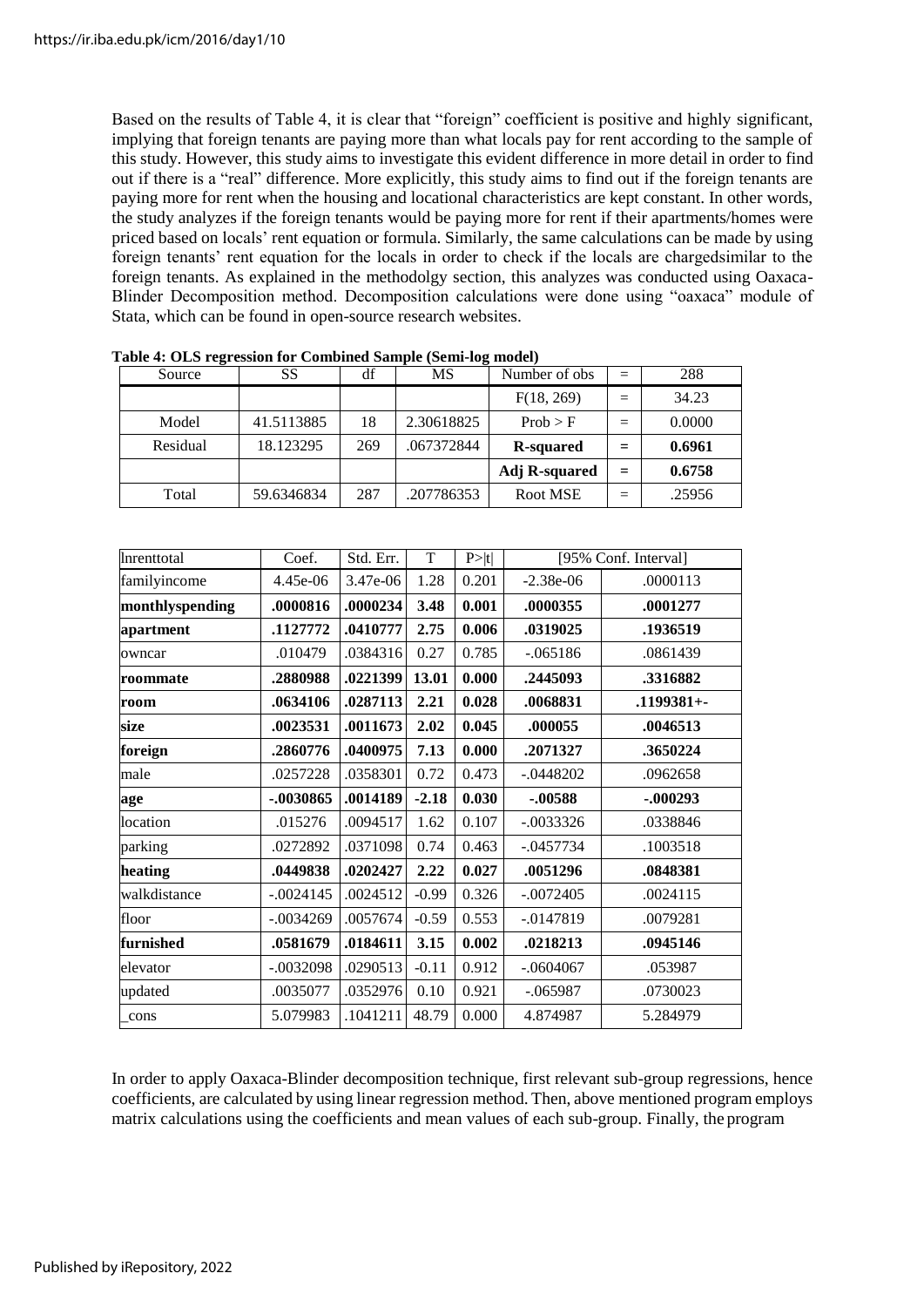Based on the results of Table 4, it is clear that "foreign" coefficient is positive and highly significant, implying that foreign tenants are paying more than what locals pay for rent according to the sample of this study. However, this study aims to investigate this evident difference in more detail in order to find out if there is a "real" difference. More explicitly, this study aims to find out if the foreign tenants are paying more for rent when the housing and locational characteristics are kept constant. In other words, the study analyzes if the foreign tenants would be paying more for rent if their apartments/homes were priced based on locals' rent equation or formula. Similarly, the same calculations can be made by using foreign tenants' rent equation for the locals in order to check if the locals are chargedsimilar to the foreign tenants. As explained in the methodolgy section, this analyzes was conducted using Oaxaca-Blinder Decomposition method. Decomposition calculations were done using "oaxaca" module of Stata, which can be found in open-source research websites.

| Source   | SS         | df  | MS<br>Number of obs |                      | $=$ | 288    |
|----------|------------|-----|---------------------|----------------------|-----|--------|
|          |            |     |                     | F(18, 269)           |     | 34.23  |
| Model    | 41.5113885 | 18  | 2.30618825          | Prob > F             | $=$ | 0.0000 |
| Residual | 18.123295  | 269 | .067372844          | <b>R</b> -squared    | $=$ | 0.6961 |
|          |            |     |                     | <b>Adj R-squared</b> | $=$ | 0.6758 |
| Total    | 59.6346834 | 287 | .207786353          | Root MSE             | $=$ | .25956 |

**Table 4: OLS regression for Combined Sample (Semi-log model)**

| Inrenttotal     | Coef.       | Std. Err. | $\overline{T}$ | P> t  | [95% Conf. Interval] |                |
|-----------------|-------------|-----------|----------------|-------|----------------------|----------------|
| familyincome    | 4.45e-06    | 3.47e-06  | 1.28           | 0.201 | $-2.38e-06$          | .0000113       |
| monthlyspending | .0000816    | .0000234  | 3.48           | 0.001 | .0000355             | .0001277       |
| apartment       | .1127772    | .0410777  | 2.75           | 0.006 | .0319025             | .1936519       |
| owncar          | .010479     | .0384316  | 0.27           | 0.785 | $-.065186$           | .0861439       |
| roommate        | .2880988    | .0221399  | 13.01          | 0.000 | .2445093             | .3316882       |
| room            | .0634106    | .0287113  | 2.21           | 0.028 | .0068831             | $.1199381 + -$ |
| size            | .0023531    | .0011673  | 2.02           | 0.045 | .000055              | .0046513       |
| foreign         | .2860776    | .0400975  | 7.13           | 0.000 | .2071327             | .3650224       |
| male            | .0257228    | .0358301  | 0.72           | 0.473 | $-.0448202$          | .0962658       |
| age             | $-0.030865$ | .0014189  | $-2.18$        | 0.030 | $-.00588$            | $-.000293$     |
| location        | .015276     | .0094517  | 1.62           | 0.107 | $-.0033326$          | .0338846       |
| parking         | .0272892    | .0371098  | 0.74           | 0.463 | $-.0457734$          | .1003518       |
| heating         | .0449838    | .0202427  | 2.22           | 0.027 | .0051296             | .0848381       |
| walkdistance    | $-.0024145$ | .0024512  | $-0.99$        | 0.326 | $-.0072405$          | .0024115       |
| floor           | $-.0034269$ | .0057674  | $-0.59$        | 0.553 | $-0.0147819$         | .0079281       |
| furnished       | .0581679    | .0184611  | 3.15           | 0.002 | .0218213             | .0945146       |
| elevator        | $-.0032098$ | .0290513  | $-0.11$        | 0.912 | $-.0604067$          | .053987        |
| updated         | .0035077    | .0352976  | 0.10           | 0.921 | $-.065987$           | .0730023       |
| cons            | 5.079983    | .1041211  | 48.79          | 0.000 | 4.874987             | 5.284979       |

In order to apply Oaxaca-Blinder decomposition technique, first relevant sub-group regressions, hence coefficients, are calculated by using linear regression method. Then, above mentioned program employs matrix calculations using the coefficients and mean values of each sub-group. Finally, the program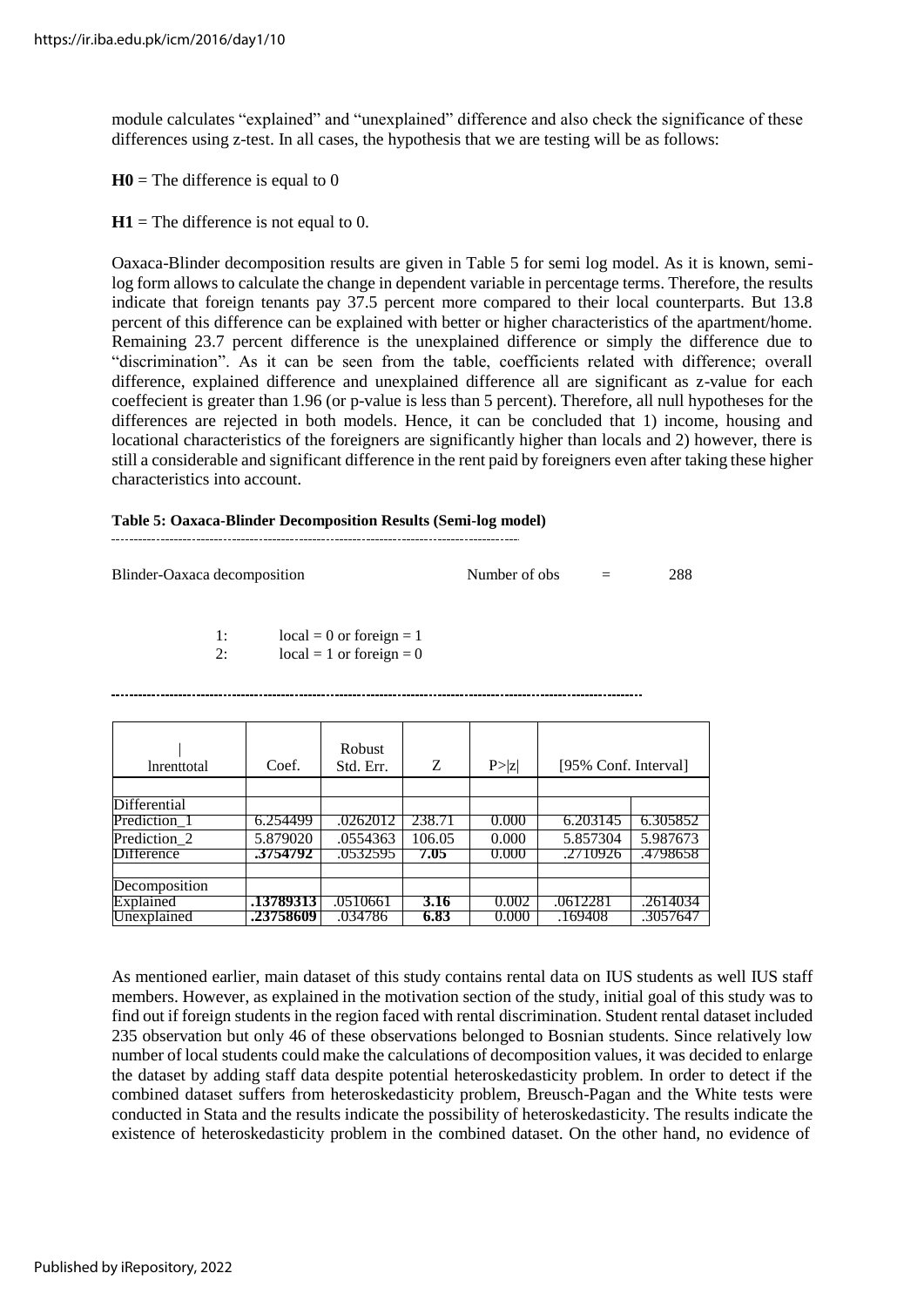module calculates "explained" and "unexplained" difference and also check the significance of these differences using z-test. In all cases, the hypothesis that we are testing will be as follows:

 $H0$  = The difference is equal to 0

 $H1$  = The difference is not equal to 0.

Oaxaca-Blinder decomposition results are given in Table 5 for semi log model. As it is known, semilog form allows to calculate the change in dependent variable in percentage terms. Therefore, the results indicate that foreign tenants pay 37.5 percent more compared to their local counterparts. But 13.8 percent of this difference can be explained with better or higher characteristics of the apartment/home. Remaining 23.7 percent difference is the unexplained difference or simply the difference due to "discrimination". As it can be seen from the table, coefficients related with difference; overall difference, explained difference and unexplained difference all are significant as z-value for each coeffecient is greater than 1.96 (or p-value is less than 5 percent). Therefore, all null hypotheses for the differences are rejected in both models. Hence, it can be concluded that 1) income, housing and locational characteristics of the foreigners are significantly higher than locals and 2) however, there is still a considerable and significant difference in the rent paid by foreigners even after taking these higher characteristics into account.

#### **Table 5: Oaxaca-Blinder Decomposition Results (Semi-log model)**

| Blinder-Oaxaca decomposition | Number of obs |  | 288 |
|------------------------------|---------------|--|-----|
|------------------------------|---------------|--|-----|

1:  $\text{local} = 0 \text{ or foreign} = 1$ <br>2:  $\text{local} = 1 \text{ or foreign} = 0$ 

 $local = 1$  or foreign = 0

| <i>Inrenttotal</i> | Coef.     | <b>Robust</b><br>Std. Err. | Z      | P >  z | [95% Conf. Interval] |          |
|--------------------|-----------|----------------------------|--------|--------|----------------------|----------|
|                    |           |                            |        |        |                      |          |
| Differential       |           |                            |        |        |                      |          |
| Prediction_1       | 6.254499  | .0262012                   | 238.71 | 0.000  | 6.203145             | 6.305852 |
| Prediction 2       | 5.879020  | .0554363                   | 106.05 | 0.000  | 5.857304             | 5.987673 |
| <b>Difference</b>  | 3754792   | .0532595                   | 7.05   | 0.000  | .2710926             | .4798658 |
|                    |           |                            |        |        |                      |          |
| Decomposition      |           |                            |        |        |                      |          |
| Explained          | .13789313 | .0510661                   | 3.16   | 0.002  | .0612281             | .2614034 |
| Unexplained        | .23758609 | .034786                    | 6.83   | 0.000  | .169408              | .3057647 |

As mentioned earlier, main dataset of this study contains rental data on IUS students as well IUS staff members. However, as explained in the motivation section of the study, initial goal of this study was to find out if foreign students in the region faced with rental discrimination. Student rental dataset included 235 observation but only 46 of these observations belonged to Bosnian students. Since relatively low number of local students could make the calculations of decomposition values, it was decided to enlarge the dataset by adding staff data despite potential heteroskedasticity problem. In order to detect if the combined dataset suffers from heteroskedasticity problem, Breusch-Pagan and the White tests were conducted in Stata and the results indicate the possibility of heteroskedasticity. The results indicate the existence of heteroskedasticity problem in the combined dataset. On the other hand, no evidence of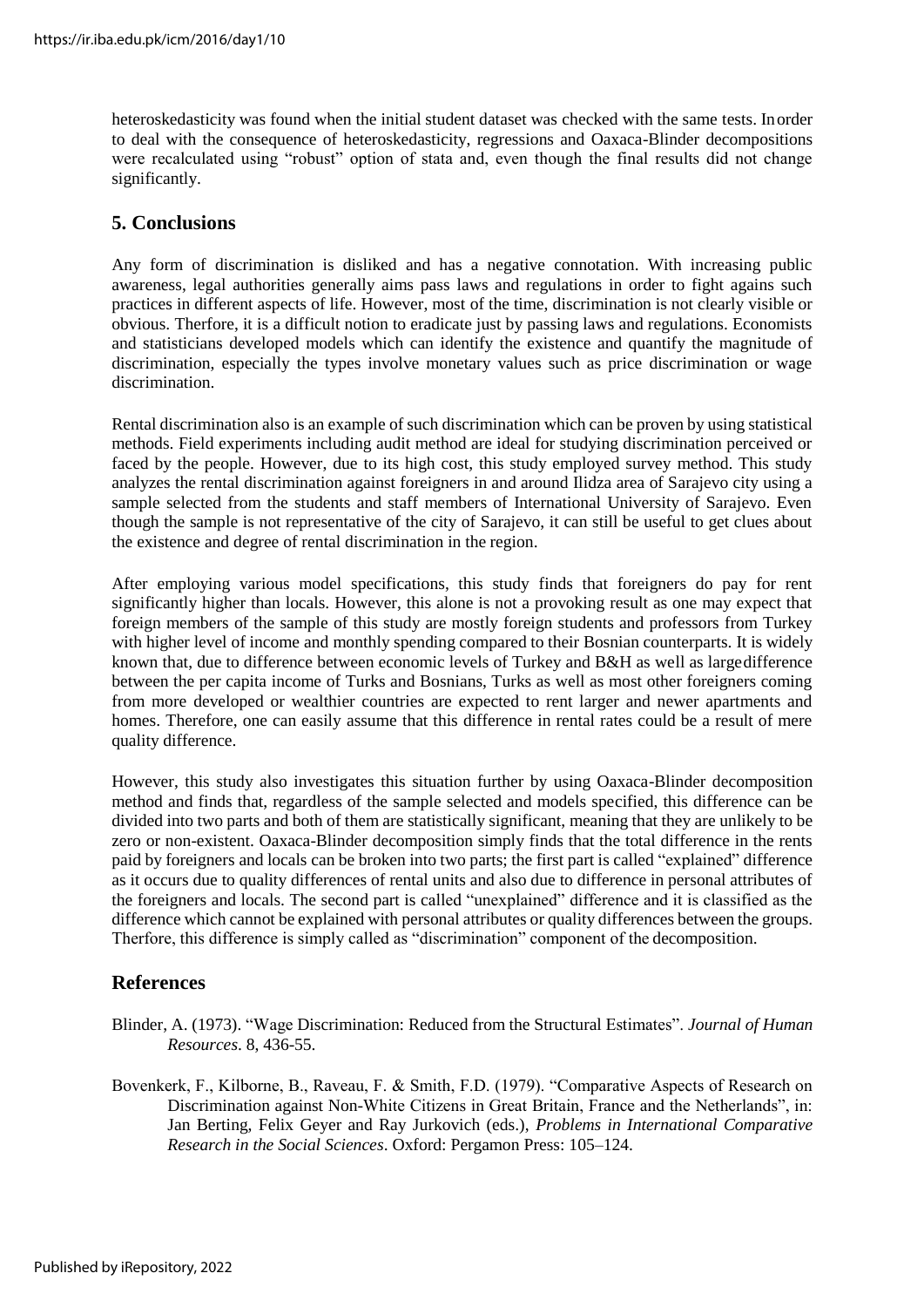heteroskedasticity was found when the initial student dataset was checked with the same tests. Inorder to deal with the consequence of heteroskedasticity, regressions and Oaxaca-Blinder decompositions were recalculated using "robust" option of stata and, even though the final results did not change significantly.

### **5. Conclusions**

Any form of discrimination is disliked and has a negative connotation. With increasing public awareness, legal authorities generally aims pass laws and regulations in order to fight agains such practices in different aspects of life. However, most of the time, discrimination is not clearly visible or obvious. Therfore, it is a difficult notion to eradicate just by passing laws and regulations. Economists and statisticians developed models which can identify the existence and quantify the magnitude of discrimination, especially the types involve monetary values such as price discrimination or wage discrimination.

Rental discrimination also is an example of such discrimination which can be proven by using statistical methods. Field experiments including audit method are ideal for studying discrimination perceived or faced by the people. However, due to its high cost, this study employed survey method. This study analyzes the rental discrimination against foreigners in and around Ilidza area of Sarajevo city using a sample selected from the students and staff members of International University of Sarajevo. Even though the sample is not representative of the city of Sarajevo, it can still be useful to get clues about the existence and degree of rental discrimination in the region.

After employing various model specifications, this study finds that foreigners do pay for rent significantly higher than locals. However, this alone is not a provoking result as one may expect that foreign members of the sample of this study are mostly foreign students and professors from Turkey with higher level of income and monthly spending compared to their Bosnian counterparts. It is widely known that, due to difference between economic levels of Turkey and B&H as well as largedifference between the per capita income of Turks and Bosnians, Turks as well as most other foreigners coming from more developed or wealthier countries are expected to rent larger and newer apartments and homes. Therefore, one can easily assume that this difference in rental rates could be a result of mere quality difference.

However, this study also investigates this situation further by using Oaxaca-Blinder decomposition method and finds that, regardless of the sample selected and models specified, this difference can be divided into two parts and both of them are statistically significant, meaning that they are unlikely to be zero or non-existent. Oaxaca-Blinder decomposition simply finds that the total difference in the rents paid by foreigners and locals can be broken into two parts; the first part is called "explained" difference as it occurs due to quality differences of rental units and also due to difference in personal attributes of the foreigners and locals. The second part is called "unexplained" difference and it is classified as the difference which cannot be explained with personal attributes or quality differences between the groups. Therfore, this difference is simply called as "discrimination" component of the decomposition.

### **References**

- Blinder, A. (1973). "Wage Discrimination: Reduced from the Structural Estimates". *Journal of Human Resources*. 8, 436-55.
- Bovenkerk, F., Kilborne, B., Raveau, F. & Smith, F.D. (1979). "Comparative Aspects of Research on Discrimination against Non-White Citizens in Great Britain, France and the Netherlands", in: Jan Berting, Felix Geyer and Ray Jurkovich (eds.), *Problems in International Comparative Research in the Social Sciences*. Oxford: Pergamon Press: 105–124.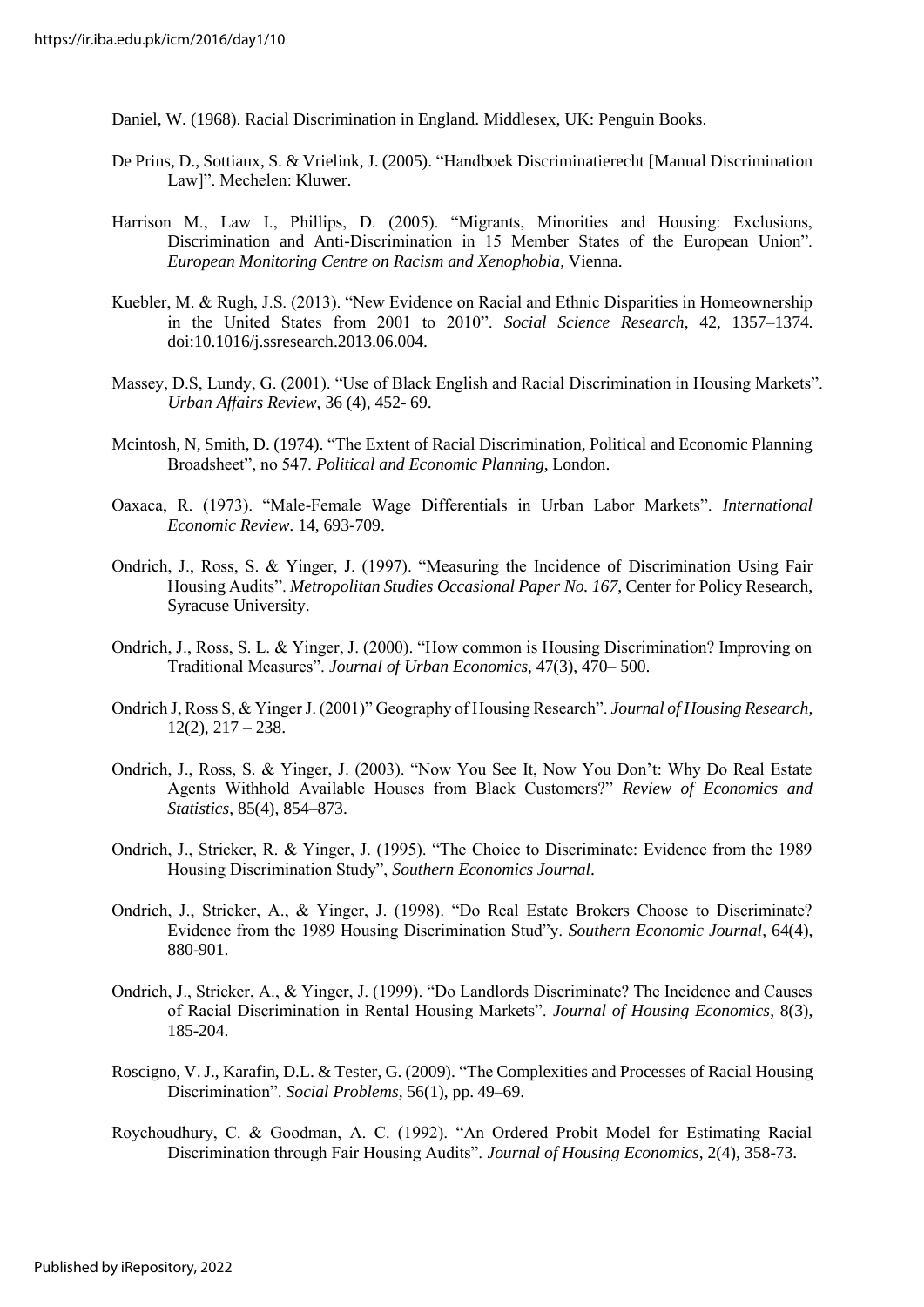Daniel, W. (1968). Racial Discrimination in England. Middlesex, UK: Penguin Books.

- De Prins, D., Sottiaux, S. & Vrielink, J. (2005). "Handboek Discriminatierecht [Manual Discrimination Law]". Mechelen: Kluwer.
- Harrison M., Law I., Phillips, D. (2005). "Migrants, Minorities and Housing: Exclusions, Discrimination and Anti-Discrimination in 15 Member States of the European Union". *European Monitoring Centre on Racism and Xenophobia*, Vienna.
- Kuebler, M. & Rugh, J.S. (2013). "New Evidence on Racial and Ethnic Disparities in Homeownership in the United States from 2001 to 2010". *Social Science Research*, 42, 1357–1374. doi:10.1016/j.ssresearch.2013.06.004.
- Massey, D.S, Lundy, G. (2001). "Use of Black English and Racial Discrimination in Housing Markets". *Urban Affairs Review*, 36 (4), 452- 69.
- Mcintosh, N, Smith, D. (1974). "The Extent of Racial Discrimination, Political and Economic Planning Broadsheet", no 547. *Political and Economic Planning*, London.
- Oaxaca, R. (1973). "Male-Female Wage Differentials in Urban Labor Markets". *International Economic Review*. 14, 693-709.
- Ondrich, J., Ross, S. & Yinger, J. (1997). "Measuring the Incidence of Discrimination Using Fair Housing Audits". *Metropolitan Studies Occasional Paper No. 167*, Center for Policy Research, Syracuse University.
- Ondrich, J., Ross, S. L. & Yinger, J. (2000). "How common is Housing Discrimination? Improving on Traditional Measures". *Journal of Urban Economics*, 47(3), 470– 500.
- Ondrich J, Ross S, & Yinger J. (2001)" Geography of Housing Research". *Journal of Housing Research*,  $12(2), 217 - 238.$
- Ondrich, J., Ross, S. & Yinger, J. (2003). "Now You See It, Now You Don't: Why Do Real Estate Agents Withhold Available Houses from Black Customers?" *Review of Economics and Statistics*, 85(4), 854–873.
- Ondrich, J., Stricker, R. & Yinger, J. (1995). "The Choice to Discriminate: Evidence from the 1989 Housing Discrimination Study", *Southern Economics Journal*.
- Ondrich, J., Stricker, A., & Yinger, J. (1998). "Do Real Estate Brokers Choose to Discriminate? Evidence from the 1989 Housing Discrimination Stud"y. *Southern Economic Journal*, 64(4), 880-901.
- Ondrich, J., Stricker, A., & Yinger, J. (1999). "Do Landlords Discriminate? The Incidence and Causes of Racial Discrimination in Rental Housing Markets". *Journal of Housing Economics*, 8(3), 185-204.
- Roscigno, V.J., Karafin, D.L. & Tester, G. (2009). "The Complexities and Processes of Racial Housing Discrimination". *Social Problems*, 56(1), pp. 49–69.
- Roychoudhury, C. & Goodman, A. C. (1992). "An Ordered Probit Model for Estimating Racial Discrimination through Fair Housing Audits". *Journal of Housing Economics*, 2(4), 358-73.